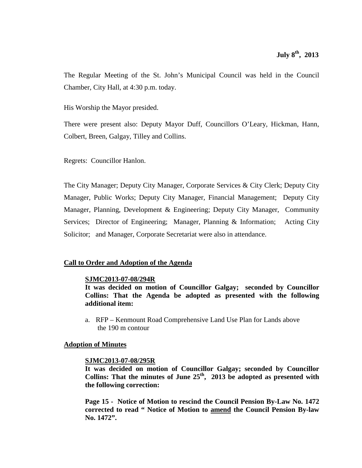The Regular Meeting of the St. John's Municipal Council was held in the Council Chamber, City Hall, at 4:30 p.m. today.

His Worship the Mayor presided.

There were present also: Deputy Mayor Duff, Councillors O'Leary, Hickman, Hann, Colbert, Breen, Galgay, Tilley and Collins.

Regrets: Councillor Hanlon.

The City Manager; Deputy City Manager, Corporate Services & City Clerk; Deputy City Manager, Public Works; Deputy City Manager, Financial Management; Deputy City Manager, Planning, Development & Engineering; Deputy City Manager, Community Services; Director of Engineering; Manager, Planning & Information; Acting City Solicitor; and Manager, Corporate Secretariat were also in attendance.

### **Call to Order and Adoption of the Agenda**

### **SJMC2013-07-08/294R**

**It was decided on motion of Councillor Galgay; seconded by Councillor Collins: That the Agenda be adopted as presented with the following additional item:**

a. RFP – Kenmount Road Comprehensive Land Use Plan for Lands above the 190 m contour

### **Adoption of Minutes**

### **SJMC2013-07-08/295R**

**It was decided on motion of Councillor Galgay; seconded by Councillor**  Collins: That the minutes of June  $25<sup>th</sup>$ , 2013 be adopted as presented with **the following correction:**

**Page 15 - Notice of Motion to rescind the Council Pension By-Law No. 1472 corrected to read " Notice of Motion to amend the Council Pension By-law No. 1472".**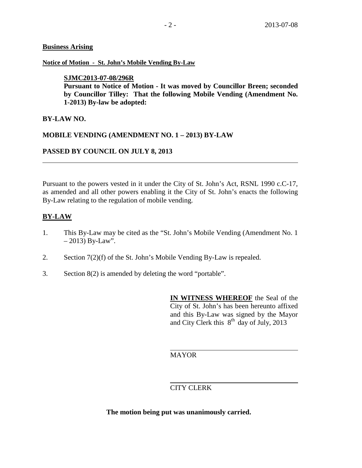## **Business Arising**

### **Notice of Motion - St. John's Mobile Vending By-Law**

# **SJMC2013-07-08/296R**

**Pursuant to Notice of Motion - It was moved by Councillor Breen; seconded by Councillor Tilley: That the following Mobile Vending (Amendment No. 1-2013) By-law be adopted:**

# **BY-LAW NO.**

# **MOBILE VENDING (AMENDMENT NO. 1 – 2013) BY-LAW**

# **PASSED BY COUNCIL ON JULY 8, 2013**

Pursuant to the powers vested in it under the City of St. John's Act, RSNL 1990 c.C-17, as amended and all other powers enabling it the City of St. John's enacts the following By-Law relating to the regulation of mobile vending.

# **BY-LAW**

- 1. This By-Law may be cited as the "St. John's Mobile Vending (Amendment No. 1  $-2013$ ) By-Law".
- 2. Section 7(2)(f) of the St. John's Mobile Vending By-Law is repealed.
- 3. Section 8(2) is amended by deleting the word "portable".

**IN WITNESS WHEREOF** the Seal of the City of St. John's has been hereunto affixed and this By-Law was signed by the Mayor and City Clerk this  $8^{th}$  day of July, 2013

# MAYOR

# CITY CLERK

**The motion being put was unanimously carried.**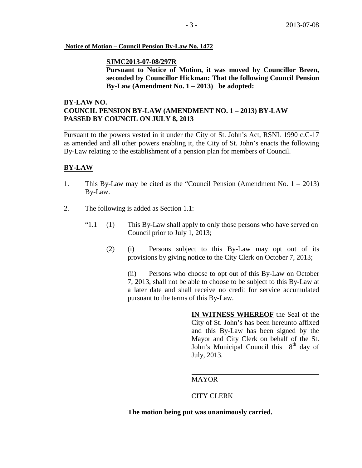#### **Notice of Motion – Council Pension By-Law No. 1472**

### **SJMC2013-07-08/297R**

**Pursuant to Notice of Motion, it was moved by Councillor Breen, seconded by Councillor Hickman: That the following Council Pension By-Law (Amendment No. 1 – 2013) be adopted:**

# **BY-LAW NO. COUNCIL PENSION BY-LAW (AMENDMENT NO. 1 – 2013) BY-LAW PASSED BY COUNCIL ON JULY 8, 2013**

Pursuant to the powers vested in it under the City of St. John's Act, RSNL 1990 c.C-17 as amended and all other powers enabling it, the City of St. John's enacts the following By-Law relating to the establishment of a pension plan for members of Council.

# **BY-LAW**

- 1. This By-Law may be cited as the "Council Pension (Amendment No. 1 2013) By-Law.
- 2. The following is added as Section 1.1:
	- " $1.1$  (1) This By-Law shall apply to only those persons who have served on Council prior to July 1, 2013;
		- (2) (i) Persons subject to this By-Law may opt out of its provisions by giving notice to the City Clerk on October 7, 2013;

(ii) Persons who choose to opt out of this By-Law on October 7, 2013, shall not be able to choose to be subject to this By-Law at a later date and shall receive no credit for service accumulated pursuant to the terms of this By-Law.

> **IN WITNESS WHEREOF** the Seal of the City of St. John's has been hereunto affixed and this By-Law has been signed by the Mayor and City Clerk on behalf of the St. John's Municipal Council this  $8<sup>th</sup>$  day of July, 2013.

### MAYOR

# CITY CLERK

**The motion being put was unanimously carried.**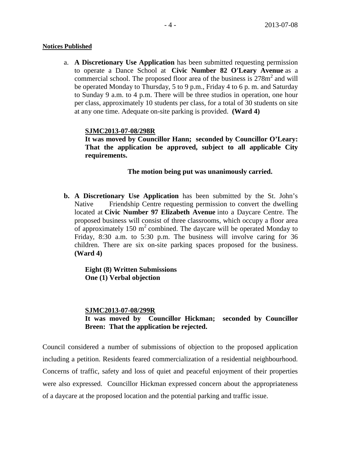#### **Notices Published**

a. **A Discretionary Use Application** has been submitted requesting permission to operate a Dance School at **Civic Number 82 O'Leary Avenue** as a commercial school. The proposed floor area of the business is  $278m<sup>2</sup>$  and will be operated Monday to Thursday, 5 to 9 p.m., Friday 4 to 6 p. m. and Saturday to Sunday 9 a.m. to 4 p.m. There will be three studios in operation, one hour per class, approximately 10 students per class, for a total of 30 students on site at any one time. Adequate on-site parking is provided. **(Ward 4)**

### **SJMC2013-07-08/298R**

**It was moved by Councillor Hann; seconded by Councillor O'Leary: That the application be approved, subject to all applicable City requirements.** 

# **The motion being put was unanimously carried.**

**b. A Discretionary Use Application** has been submitted by the St. John's Native Friendship Centre requesting permission to convert the dwelling located at **Civic Number 97 Elizabeth Avenue** into a Daycare Centre. The proposed business will consist of three classrooms, which occupy a floor area of approximately 150  $m^2$  combined. The daycare will be operated Monday to Friday, 8:30 a.m. to 5:30 p.m. The business will involve caring for 36 children. There are six on-site parking spaces proposed for the business. **(Ward 4)**

**Eight (8) Written Submissions One (1) Verbal objection**

**SJMC2013-07-08/299R It was moved by Councillor Hickman; seconded by Councillor Breen: That the application be rejected.** 

Council considered a number of submissions of objection to the proposed application including a petition. Residents feared commercialization of a residential neighbourhood. Concerns of traffic, safety and loss of quiet and peaceful enjoyment of their properties were also expressed. Councillor Hickman expressed concern about the appropriateness of a daycare at the proposed location and the potential parking and traffic issue.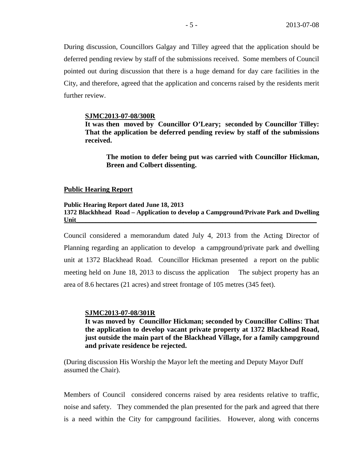During discussion, Councillors Galgay and Tilley agreed that the application should be deferred pending review by staff of the submissions received. Some members of Council pointed out during discussion that there is a huge demand for day care facilities in the City, and therefore, agreed that the application and concerns raised by the residents merit further review.

#### **SJMC2013-07-08/300R**

**It was then moved by Councillor O'Leary; seconded by Councillor Tilley: That the application be deferred pending review by staff of the submissions received.** 

**The motion to defer being put was carried with Councillor Hickman, Breen and Colbert dissenting.**

#### **Public Hearing Report**

## **Public Hearing Report dated June 18, 2013 1372 Blackhhead Road – Application to develop a Campground/Private Park and Dwelling Unit**

Council considered a memorandum dated July 4, 2013 from the Acting Director of Planning regarding an application to develop a campground/private park and dwelling unit at 1372 Blackhead Road. Councillor Hickman presented a report on the public meeting held on June 18, 2013 to discuss the application The subject property has an area of 8.6 hectares (21 acres) and street frontage of 105 metres (345 feet).

#### **SJMC2013-07-08/301R**

**It was moved by Councillor Hickman; seconded by Councillor Collins: That the application to develop vacant private property at 1372 Blackhead Road, just outside the main part of the Blackhead Village, for a family campground and private residence be rejected.**

(During discussion His Worship the Mayor left the meeting and Deputy Mayor Duff assumed the Chair).

Members of Council considered concerns raised by area residents relative to traffic, noise and safety. They commended the plan presented for the park and agreed that there is a need within the City for campground facilities. However, along with concerns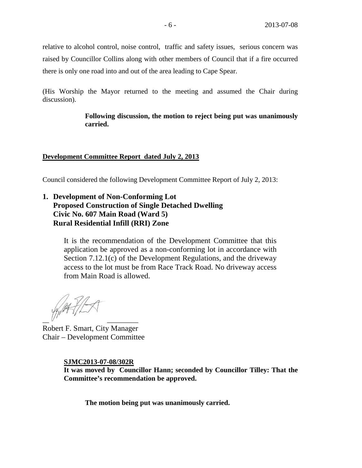relative to alcohol control, noise control, traffic and safety issues, serious concern was raised by Councillor Collins along with other members of Council that if a fire occurred there is only one road into and out of the area leading to Cape Spear.

(His Worship the Mayor returned to the meeting and assumed the Chair during discussion).

> **Following discussion, the motion to reject being put was unanimously carried.**

# **Development Committee Report dated July 2, 2013**

Council considered the following Development Committee Report of July 2, 2013:

# **1. Development of Non-Conforming Lot Proposed Construction of Single Detached Dwelling Civic No. 607 Main Road (Ward 5) Rural Residential Infill (RRI) Zone**

It is the recommendation of the Development Committee that this application be approved as a non-conforming lot in accordance with Section 7.12.1(c) of the Development Regulations, and the driveway access to the lot must be from Race Track Road. No driveway access from Main Road is allowed.

 $\overline{\phantom{a}}$   $\overline{\phantom{a}}$   $\overline{\phantom{a}}$   $\overline{\phantom{a}}$   $\overline{\phantom{a}}$   $\overline{\phantom{a}}$   $\overline{\phantom{a}}$   $\overline{\phantom{a}}$   $\overline{\phantom{a}}$   $\overline{\phantom{a}}$   $\overline{\phantom{a}}$   $\overline{\phantom{a}}$   $\overline{\phantom{a}}$   $\overline{\phantom{a}}$   $\overline{\phantom{a}}$   $\overline{\phantom{a}}$   $\overline{\phantom{a}}$   $\overline{\phantom{a}}$   $\overline{\$ 

Robert F. Smart, City Manager Chair – Development Committee

### **SJMC2013-07-08/302R**

**It was moved by Councillor Hann; seconded by Councillor Tilley: That the Committee's recommendation be approved.**

**The motion being put was unanimously carried.**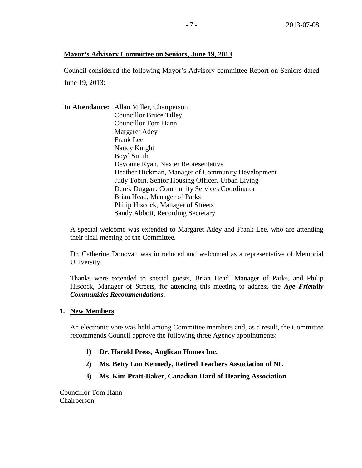# **Mayor's Advisory Committee on Seniors, June 19, 2013**

Council considered the following Mayor's Advisory committee Report on Seniors dated June 19, 2013:

**In Attendance:** Allan Miller, Chairperson Councillor Bruce Tilley Councillor Tom Hann Margaret Adey Frank Lee Nancy Knight Boyd Smith Devonne Ryan, Nexter Representative Heather Hickman, Manager of Community Development Judy Tobin, Senior Housing Officer, Urban Living Derek Duggan, Community Services Coordinator Brian Head, Manager of Parks Philip Hiscock, Manager of Streets Sandy Abbott, Recording Secretary

A special welcome was extended to Margaret Adey and Frank Lee, who are attending their final meeting of the Committee.

Dr. Catherine Donovan was introduced and welcomed as a representative of Memorial University.

Thanks were extended to special guests, Brian Head, Manager of Parks, and Philip Hiscock, Manager of Streets, for attending this meeting to address the *Age Friendly Communities Recommendations*.

**1. New Members**

An electronic vote was held among Committee members and, as a result, the Committee recommends Council approve the following three Agency appointments:

- **1) Dr. Harold Press, Anglican Homes Inc.**
- **2) Ms. Betty Lou Kennedy, Retired Teachers Association of NL**
- **3) Ms. Kim Pratt-Baker, Canadian Hard of Hearing Association**

Councillor Tom Hann Chairperson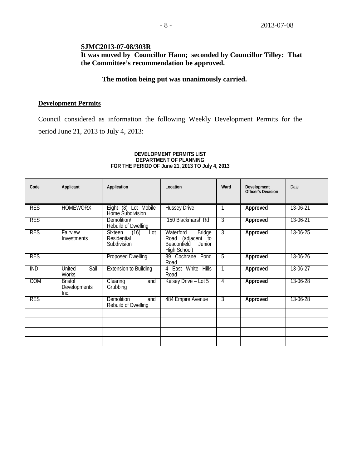# **SJMC2013-07-08/303R**

**It was moved by Councillor Hann; seconded by Councillor Tilley: That the Committee's recommendation be approved.**

## **The motion being put was unanimously carried.**

### **Development Permits**

Council considered as information the following Weekly Development Permits for the period June 21, 2013 to July 4, 2013:

#### **DEVELOPMENT PERMITS LIST DEPARTMENT OF PLANNING FOR THE PERIOD OF June 21, 2013 TO July 4, 2013**

| Code       | Applicant                                     | Application                                                 | Location                                                                                           | Ward | Development<br><b>Officer's Decision</b> | Date     |
|------------|-----------------------------------------------|-------------------------------------------------------------|----------------------------------------------------------------------------------------------------|------|------------------------------------------|----------|
| <b>RES</b> | <b>HOMEWORX</b>                               | Eight (8) Lot Mobile<br>Home Subdivision                    | <b>Hussey Drive</b>                                                                                |      | Approved                                 | 13-06-21 |
| <b>RES</b> |                                               | Demolition/<br>Rebuild of Dwelling                          | 150 Blackmarsh Rd                                                                                  | 3    | Approved                                 | 13-06-21 |
| <b>RES</b> | Fairview<br>Investments                       | (16)<br><b>Sixteen</b><br>Lot<br>Residential<br>Subdivision | Waterford<br><b>Bridge</b><br>(adjacent to<br>Road<br><b>Beaconfield</b><br>Junior<br>High School) | 3    | Approved                                 | 13-06-25 |
| <b>RES</b> |                                               | <b>Proposed Dwelling</b>                                    | 89 Cochrane<br>Pond<br>Road                                                                        | 5    | Approved                                 | 13-06-26 |
| <b>IND</b> | United<br>Sail<br><b>Works</b>                | <b>Extension to Building</b>                                | 4 East White<br><b>Hills</b><br>Road                                                               |      | Approved                                 | 13-06-27 |
| <b>COM</b> | <b>Bristol</b><br><b>Developments</b><br>Inc. | Clearing<br>and<br>Grubbing                                 | Kelsey Drive - Lot 5                                                                               | 4    | Approved                                 | 13-06-28 |
| <b>RES</b> |                                               | <b>Demolition</b><br>and<br>Rebuild of Dwelling             | 484 Empire Avenue                                                                                  | 3    | Approved                                 | 13-06-28 |
|            |                                               |                                                             |                                                                                                    |      |                                          |          |
|            |                                               |                                                             |                                                                                                    |      |                                          |          |
|            |                                               |                                                             |                                                                                                    |      |                                          |          |
|            |                                               |                                                             |                                                                                                    |      |                                          |          |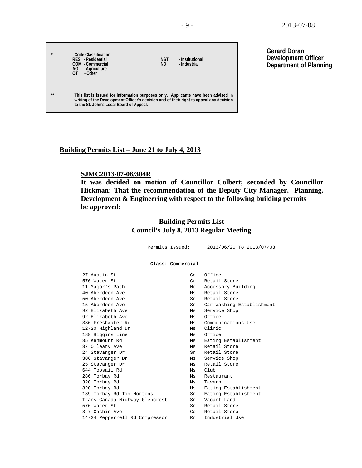| $\star$ | Code Classification:<br>RES - Residential<br>COM - Commercial<br>AG - Agriculture<br>ΩT<br>- Other                                                                                                                        | <b>INST</b><br><b>IND</b> | - Institutional<br>- Industrial |
|---------|---------------------------------------------------------------------------------------------------------------------------------------------------------------------------------------------------------------------------|---------------------------|---------------------------------|
| $***$   | This list is issued for information purposes only. Applicants have been advised in<br>writing of the Development Officer's decision and of their right to appeal any decision<br>to the St. John's Local Board of Appeal. |                           |                                 |

**Gerard Doran Development Officer Department of Planning**

#### **Building Permits List – June 21 to July 4, 2013**

#### **SJMC2013-07-08/304R**

 $\Gamma$ 

**It was decided on motion of Councillor Colbert; seconded by Councillor Hickman: That the recommendation of the Deputy City Manager, Planning, Development & Engineering with respect to the following building permits be approved:**

# **Building Permits List Council's July 8, 2013 Regular Meeting**

 Permits Issued: 2013/06/20 To 2013/07/03 **Class: Commercial** 27 Austin St<br>576 Water St Co Retail 576 Water St Co Retail Store 11 Major's Path 11 Major's Path 11 Major's Path 11 Major 2016<br>
11 Major 2016<br>
11 Major 2016<br>
2017 Ms Retail Store 40 Aberdeen Ave Ms Retail Store<br>
50 Aberdeen Ave Ms Retail Store<br>
Sn Retail Store 50 Aberdeen Ave Sn Retail Store<br>15 Aberdeen Ave Sn Car Washing 15 Aberdeen Ave Sn Car Washing Establishment<br>
92 Elizabeth Ave Service Shop Ms Service Shop 92 Elizabeth Ave Ms Office Ms Communications Use 12-20 Highland Dr Ms Clinic 189 Higgins Line<br>35 Kenmount Rd Ms Eating Establishment<br>Ms Retail Store 37 O'leary Ave Ms Retail Store<br>24 Stavanger Dr Ms Sn Retail Store 24 Stavanger Dr Sn 386 Stavanger Dr Ms Service Shop 25 Stavanger Dr Ms Retail Store 644 Topsail Rd<br>286 Torbay Rd 286 Torbay Rd<br>320 Torbay Rd<br>320 Torbay Rd Ms Tavern 320 Torbay Rd Microsoft Microsoft Microsoft Microsoft Establishment 139 Torbay Rd-Tim Hortons Sn Eating Establishment Trans Canada Highway-Glencrest Sn Vacant Land<br>576 Water St Sn Retail Store 576 Water St Sn Retail Store<br>3-7 Cashin Ave Sn Sn Retail Store Co Retail Store<br>Rn Industrial Use 14-24 Pepperrell Rd Compressor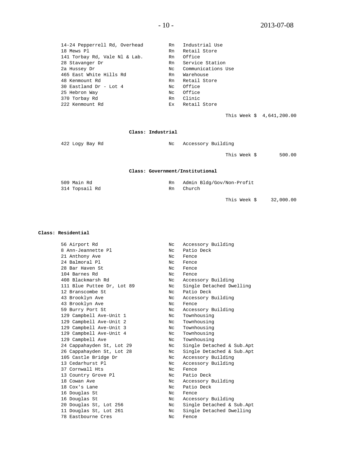| 14-24 Pepperrell Rd, Overhead | Rn  | Industrial Use     |
|-------------------------------|-----|--------------------|
| 18 Mews Pl                    | Rn  | Retail Store       |
| 141 Torbay Rd, Vale Nl & Lab. | Rn  | Office             |
| 28 Stavanger Dr               | Rn  | Service Station    |
| 2a Hussey Dr                  | Nc  | Communications Use |
| 465 East White Hills Rd       | Rn  | Warehouse          |
| 48 Kenmount Rd                | Rn  | Retail Store       |
| 30 Eastland Dr - Lot 4        | Nc  | Office             |
| 25 Hebron Way                 | Nc. | Office             |
| 370 Torbay Rd                 | Rn  | Clinic             |
| 222 Kenmount Rd               | Ex  | Retail Store       |
|                               |     |                    |

This Week \$ 4,641,200.00

#### **Class: Industrial**

| 422 Logy Bay Rd | Accessory Building<br>Nc        |        |
|-----------------|---------------------------------|--------|
|                 | This Week \$                    | 500.00 |
|                 | Class: Government/Institutional |        |
|                 |                                 |        |

| 509 Main Rd    | Admin Bldg/Gov/Non-Protit |
|----------------|---------------------------|
| 314 Topsail Rd | Church                    |
|                |                           |

This Week \$ 32,000.00

#### **Class: Residential**

| 56 Airport Rd              | Nc  | Accessory Building        |
|----------------------------|-----|---------------------------|
| 8 Ann-Jeannette Pl         | Nc. | Patio Deck                |
| 21 Anthony Ave             | NC. | Fence                     |
| 24 Balmoral Pl             | Nc. | Fence                     |
| 28 Bar Haven St            | Nc. | Fence                     |
| 104 Barnes Rd              | Nc  | Fence                     |
| 408 Blackmarsh Rd          | Nc. | Accessory Building        |
| 111 Blue Puttee Dr, Lot 89 | Nc  | Single Detached Dwelling  |
| 12 Branscombe St           | Nc  | Patio Deck                |
| 43 Brooklyn Ave            | Nc  | Accessory Building        |
| 43 Brooklyn Ave            | NC. | Fence                     |
| 59 Burry Port St           | Nc. | Accessory Building        |
| 129 Campbell Ave-Unit 1    | Nc  | Townhousing               |
| 129 Campbell Ave-Unit 2    | Nc  | Townhousing               |
| 129 Campbell Ave-Unit 3    | Nc  | Townhousing               |
| 129 Campbell Ave-Unit 4    | Nc. | Townhousing               |
| 129 Campbell Ave           | Nc  | Townhousing               |
| 24 Cappahayden St, Lot 29  | Nc  | Single Detached & Sub.Apt |
| 26 Cappahayden St, Lot 28  | Nc  | Single Detached & Sub.Apt |
| 105 Castle Bridge Dr       | Nc  | Accessory Building        |
| 13 Cedarhurst Pl           | Nc  | Accessory Building        |
| 37 Cornwall Hts            | Nc  | Fence                     |
| 13 Country Grove Pl        | Nc  | Patio Deck                |
| 18 Cowan Ave               | Nc  | Accessory Building        |
| 18 Cox's Lane              | Nc  | Patio Deck                |
| 16 Douglas St              | NC. | Fence                     |
| 16 Douglas St              | Nc  | Accessory Building        |
| 20 Douglas St, Lot 256     | Nc  | Single Detached & Sub.Apt |
| 11 Douglas St, Lot 261     | Nc. | Single Detached Dwelling  |
| 78 Eastbourne Cres         | Nc  | Fence                     |
|                            |     |                           |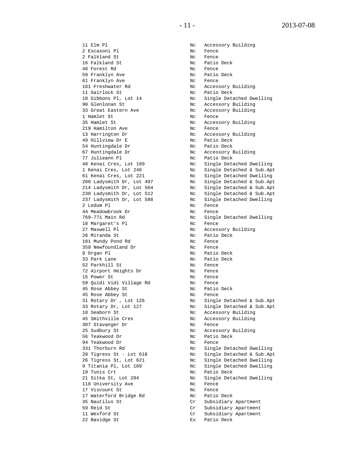2 Escasoni Pl 2 Falkland St Nc Fence<br>16 Falkland St Nc Patio 48 Forest Rd Nc Fence 59 Franklyn Ave 1999 Mc Patio 1999 Mc Patio 1999 Mc Patio 1999 Mc Pence 61 Franklyn Ave<br>161 Freshwater Rd 01 Fransiya ave<br>161 Freshwater Rd Mc Nc Accessory Building<br>11 Gairlock St Nc Patio Deck 11 Gairlock St Nc Patio Deck 90 Glenlonan St Nc Accessory Building 33 Great Eastern Ave Nc Accessory Building 1 Hamlet St Nc Fence<br>35 Hamlet St Nc Access 219 Hamilton Ave<br>13 Harrington Dr 13 Harrington Dr Nc Accessory Building<br>
19 Hillview Dr E<br>
Nc Patio Deck 54 Huntingdale Dr<br>
67 Huntingdale Dr<br>
57 Julieann Pl<br>
77 Julieann Pl<br>
No Patio Deck<br>
No Patio Deck 67 Huntingdale Dr Nc Accessory Building 77 Julieann Pl Nc Patio Deck 2 Ledum Pl Nc Fence 44 Meadowbrook Dr Nc Fence 18 Margaret's Pl 27 Maxwell Pl 12 Maxwell Pl 12 Mc Accessory Building<br>26 Miranda St 12 Mc Patio Deck 26 Miranda St Nc Patio Deck<br>181 Mundy Pond Rd Nc Rence 181 Mundy Pond Rd North Control Nc Rence 359 Newfoundland Dr Nc Fence 9 Organ Pl<br>33 Park Lane 1986 1997 1998 No Patio Deck -----<br>52 Parkhill St<br>--52 Parkhill St Nc Fence 72 Airport Heights Dr Nc Fence 15 Power St No Rence 59 Quidi Vidi Village Rd Nc Fence 45 Rose Abbey St Nc Patio Deck 45 Rose Abbey St Nc Fence 18 Seaborn St Nc Accessory Building 45 Smithville Cres No. 2016 Nc Accessory Building 307 Stavanger Dr Nc Fence 25 Sudbury St Nc Accessory Building 56 Teakwood Dr Nc Patio Deck 94 Teakwood Dr Nc Fence 19 Tunis Crt Nc Patio Deck 118 University Ave No Rence<br>17 Viscount St No Rence 17 Viscount St<br>17 Waterford Bridge Rd<br>17 Waterford Bridge Rd<br>18 Nc Patio Deck 17 Waterford Bridge Rd<br>35 Nautilus St 35 Nautilus St Cr Subsidiary Apartment 59 Reid St<br>11 Wexford St Cr Subsidiary Apartment<br>20 Cr Subsidiary Apartment

11 Elm Pl Nc Accessory Building Nc Patio Deck<br>Nc Fence 18 Gibbons Pl, Lot 14  $\hbox{NC}$  Single Detached Dwelling<br>
90 Glenlonan St  $\hbox{NC}$  Accessory Building Nc Accessory Building<br>Nc Fence Nc Patio Deck<br>Nc Patio Deck 48 Kenai Cres, Lot 199 Nc Single Detached Dwelling 1 Kenai Cres, Lot 246 Nc Single Detached & Sub.Apt 61 Kenai Cres, Lot 221 Nc Single Detached Dwelling 200 Ladysmith Dr, Lot 497 Nc Single Detached & Sub.Apt 214 Ladysmith Dr, Lot 504 Nc Single Detached & Sub.Apt 230 Ladysmith Dr, Lot 512 Nc Single Detached & Sub.Apt 237 Ladysmith Dr, Lot 588 Nc Single Detached Dwelling 769-771 Main Rd<br>18 Margaret's Pl<br>Nc Fence 31 Rotary Dr , Lot 126 Nc Single Detached & Sub.Apt 33 Rotary Dr, Lot 127 Nc Single Detached & Sub.Apt 331 Thorburn Rd Nc Single Detached Dwelling 20 Tigress St - Lot 618 Nc Single Detached & Sub.Apt 26 Tigress St, Lot 621 Nc Single Detached Dwelling 9 Titania Pl, Lot 169  $\leq$  Nc Single Detached Dwelling<br>19 Tunis Crt  $\leq$  Nc Patio Deck Nc Single Detached Dwelling<br>Nc Fence 11 Wexford St Cr Subsidiary Apartment Ex Patio Deck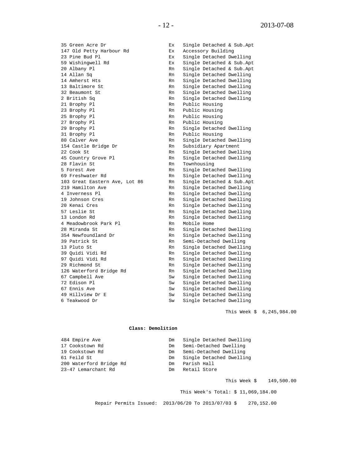35 Green Acre Dr<br>
147 Old Petty Harbour Rd<br>
25 Ex Accessory Building 147 Old Petty Harbour Rd<br>
23 Pine Bud Pl<br>
Ex Single Detached Dw 23 Pine Bud Pl Ex Single Detached Dwelling 59 Wishingwell Rd Ex Single Detached & Sub.Apt 20 Albany Pl Rn Single Detached & Sub.Apt Rn Single Detached & Sub.Apt 14 Allan Sq 14 Allan Sq Rn Single Detached Dwelling 14 Amherst Hts Rn Single Detached Dwelling 13 Baltimore St 13 Baltimore St 13 Beaumont St 13 Beaumont St 13 Beaumont St 13 Beaumont St 13 Beaumont St 13 B 32 Beaumont St<br>
2 British Sq<br>
2 British Sq<br>
2 Rn Single Detached Dwelling 2 British Sq Rn Single Detached Dwelling<br>21 Brophy Pl Rn Public Housing 21 Brophy Pl Rn Public Housing<br>23 Brophy Pl Rn Public Housing 23 Brophy Pl Rn Public Housing<br>25 Brophy Pl Rn Public Housing 25 Brophy Pl Rn Public Housing<br>27 Brophy Pl Rn Public Housing 27 Brophy Pl Rn Public Housing<br>29 Brophy Pl Rn Single Detache 29 Brophy Pl Rn Single Detached Dwelling<br>31 Brophy Pl Rn Public Housing 31 Brophy Pl Rn Public Housing<br>80 Calver Ave Rn Single Detache 80 Calver Ave Rn Single Detached Dwelling<br>154 Castle Bridge Dr Rn Subsidiary Apartment 154 Castle Bridge Dr Rn Subsidiary Apartment 22 Cook St<br>
45 Country Grove Pl<br>
22 Cook St Rn Single Detached Dwelling 45 Country Grove Pl **Rn** Single Detached Dwelling<br>
28 Flavin St. **Rn** Townhousing 28 Flavin St Rn Townhousing 5 Forest Ave Rn Single Detached Dwelling 69 Freshwater Rd<br>103 Great Eastern Ave, Lot 86 Rn Single Detached & Sub.Ap 103 Great Eastern Ave, Lot 86 Rn Single Detached & Sub.Apt 219 Hamilton Ave Rn Single Detached Dwelling 219 Hamilton Ave and Rn Single Detached Dwelling<br>219 Hamilton Ave Rn Single Detached Dwelling 4 Inverness Pl Rn Single Detached Dwelling 19 Johnson Cres Rn Single Detached Dwelling 20 Kenai Cres Rn Single Detached Dwelling 57 Leslie St and Single Detached Dwelling<br>13 London Rd and Roman Ru Ru Single Detached Dwelling Rn Single Detached Dwelling<br>Rn Mobile Home 4 Meadowbrook Park Pl 28 Miranda St<br>
28 Mewfoundland Dr<br>
254 Newfoundland Dr<br>
254 Newfoundland Dr<br>
28 Newfoundland Dr 354 Newfoundland Dr Rn Single Detached Dwelling<br>39 Patrick St Rn Semi-Detached Dwelling 39 Patrick St Rn Semi-Detached Dwelling<br>13 Pluto St Rn Single Detached Dwelling 13 Pluto St<br>
13 Pluto St<br>
13 Quidi Vidi Rd<br>
13 Quidi Rd<br>
13 Rn Single Detached Dwelling 39 Quidi Vidi Rd Rn Single Detached Dwelling 97 Quidi Vidi Rd Rn Single Detached Dwelling Rn Single Detached Dwelling<br>Rn Single Detached Dwelling 126 Waterford Bridge Rd<br>67 Campbell Ave 67 Campbell Ave Sw Single Detached Dwelling<br>
72 Edison Pl<br>
Sw Single Detached Dwelling 72 Edison Pl Sw Single Detached Dwelling 67 Ennis Ave Sw Single Detached Dwelling<br>49 Hillview Dr E Sw Single Detached Dwelling 49 Hillview Dr E Sw Single Detached Dwelling<br>6 Teakwood Dr Sw Single Detached Dwelling Sw Single Detached Dwelling

This Week \$ 6,245,984.00

#### **Class: Demolition**

| Dm | Single Detached Dwelling |
|----|--------------------------|
| Dm | Semi-Detached Dwelling   |
|    | Semi-Detached Dwelling   |
| Dm | Single Detached Dwelling |
| Dm | Parish Hall              |
| Dm | Retail Store             |
|    | Dm                       |

This Week \$ 149,500.00

This Week's Total: \$ 11,069,184.00

Repair Permits Issued: 2013/06/20 To 2013/07/03 \$ 270,152.00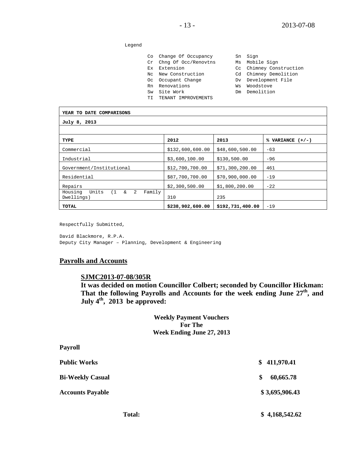#### Legend

|  |                        | Sn Sign |
|--|------------------------|---------|
|  |                        |         |
|  | Co Change Of Occupancy |         |

- Cr Chng Of Occ/Renovtns Ms Mobile Sign
- Ex Extension Cc Chimney Construction
- Nc New Construction Cd Chimney Demolition
- Oc Occupant Change Dv Development File
- Rn Renovations Ws Woodstove e companions<br>
Sw Site Work Dm Demolition<br>
Sw Site Work Dm Demolition
- 
- TI TENANT IMPROVEMENTS
- 
- 
- 
- 
- 

| YEAR TO DATE COMPARISONS                                         |                  |                  |                    |  |  |  |
|------------------------------------------------------------------|------------------|------------------|--------------------|--|--|--|
| July 8, 2013                                                     |                  |                  |                    |  |  |  |
|                                                                  |                  |                  |                    |  |  |  |
| TYPE                                                             | 2012             | 2013             | % VARIANCE $(+/-)$ |  |  |  |
| Commercial                                                       | \$132,600,600.00 | \$48,600,500.00  | $-63$              |  |  |  |
| Industrial                                                       | \$3,600,100.00   | \$130,500.00     | $-96$              |  |  |  |
| Government/Institutional                                         | \$12,700,700.00  | \$71,300,200.00  | 461                |  |  |  |
| Residential                                                      | \$87,700,700.00  | \$70,900,000.00  | $-19$              |  |  |  |
| Repairs                                                          | \$2,300,500.00   | \$1,800,200.00   | $-22$              |  |  |  |
| 2<br>Units<br>(1)<br>Family<br>$\delta$<br>Housing<br>Dwellings) | 310              | 235              |                    |  |  |  |
| TOTAL                                                            | \$238,902,600.00 | \$192,731,400.00 | $-19$              |  |  |  |

Respectfully Submitted,

David Blackmore, R.P.A. Deputy City Manager – Planning, Development & Engineering

#### **Payrolls and Accounts**

#### **SJMC2013-07-08/305R**

**It was decided on motion Councillor Colbert; seconded by Councillor Hickman: That the following Payrolls and Accounts for the week ending June 27th, and July 4th, 2013 be approved:**

## **Weekly Payment Vouchers For The Week Ending June 27, 2013**

| <b>Payroll</b>          |                 |
|-------------------------|-----------------|
| <b>Public Works</b>     | \$411,970.41    |
| <b>Bi-Weekly Casual</b> | 60,665.78<br>\$ |
| <b>Accounts Payable</b> | \$3,695,906.43  |
| <b>Total:</b>           | \$4,168,542.62  |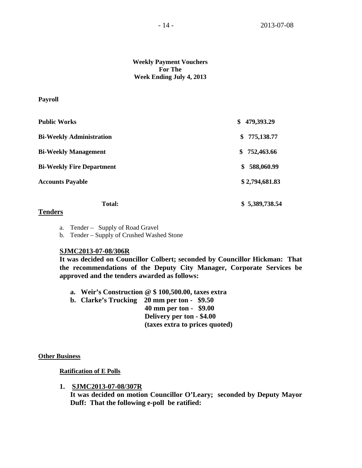**Weekly Payment Vouchers For The Week Ending July 4, 2013**

#### **Payroll**

| <b>Public Works</b>              | 479,393.29<br>\$ |
|----------------------------------|------------------|
| <b>Bi-Weekly Administration</b>  | 775,138.77<br>\$ |
| <b>Bi-Weekly Management</b>      | 752,463.66<br>\$ |
| <b>Bi-Weekly Fire Department</b> | 588,060.99<br>\$ |
| <b>Accounts Payable</b>          | \$2,794,681.83   |
| <b>Total:</b>                    | \$5,389,738.54   |

# **Tenders**

- a. Tender Supply of Road Gravel
- b. Tender Supply of Crushed Washed Stone

### **SJMC2013-07-08/306R**

**It was decided on Councillor Colbert; seconded by Councillor Hickman: That the recommendations of the Deputy City Manager, Corporate Services be approved and the tenders awarded as follows:**

**a. Weir's Construction @ \$ 100,500.00, taxes extra**

**b. Clarke's Trucking 20 mm per ton - \$9.50 40 mm per ton - \$9.00 Delivery per ton - \$4.00 (taxes extra to prices quoted)**

#### **Other Business**

**Ratification of E Polls**

**1. SJMC2013-07-08/307R**

**It was decided on motion Councillor O'Leary; seconded by Deputy Mayor Duff: That the following e-poll be ratified:**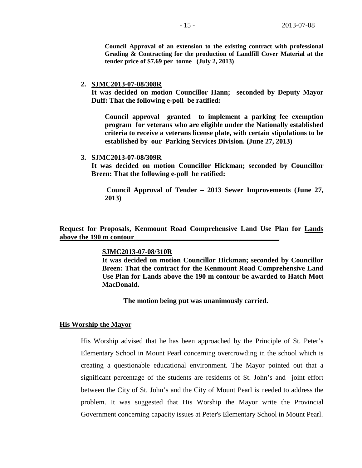**Council Approval of an extension to the existing contract with professional Grading & Contracting for the production of Landfill Cover Material at the tender price of \$7.69 per tonne (July 2, 2013)**

#### **2. SJMC2013-07-08/308R**

**It was decided on motion Councillor Hann; seconded by Deputy Mayor Duff: That the following e-poll be ratified:**

**Council approval granted to implement a parking fee exemption program for veterans who are eligible under the Nationally established criteria to receive a veterans license plate, with certain stipulations to be established by our Parking Services Division. (June 27, 2013)**

#### **3. SJMC2013-07-08/309R**

**It was decided on motion Councillor Hickman; seconded by Councillor Breen: That the following e-poll be ratified:**

**Council Approval of Tender – 2013 Sewer Improvements (June 27, 2013)**

**Request for Proposals, Kenmount Road Comprehensive Land Use Plan for Lands above the 190 m contour\_\_\_\_\_\_\_\_\_\_\_\_\_\_\_\_\_\_\_\_\_\_\_\_\_\_\_\_\_\_\_\_\_\_\_\_\_\_\_\_\_**

#### **SJMC2013-07-08/310R**

**It was decided on motion Councillor Hickman; seconded by Councillor Breen: That the contract for the Kenmount Road Comprehensive Land Use Plan for Lands above the 190 m contour be awarded to Hatch Mott MacDonald.**

**The motion being put was unanimously carried.**

#### **His Worship the Mayor**

His Worship advised that he has been approached by the Principle of St. Peter's Elementary School in Mount Pearl concerning overcrowding in the school which is creating a questionable educational environment. The Mayor pointed out that a significant percentage of the students are residents of St. John's and joint effort between the City of St. John's and the City of Mount Pearl is needed to address the problem. It was suggested that His Worship the Mayor write the Provincial Government concerning capacity issues at Peter's Elementary School in Mount Pearl.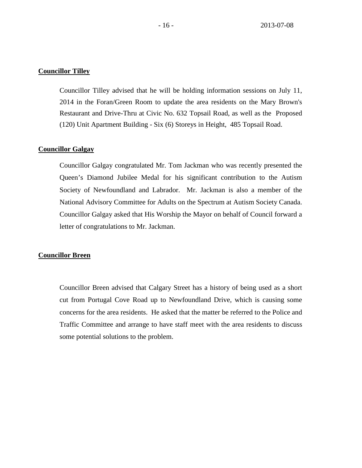### **Councillor Tilley**

Councillor Tilley advised that he will be holding information sessions on July 11, 2014 in the Foran/Green Room to update the area residents on the Mary Brown's Restaurant and Drive-Thru at Civic No. 632 Topsail Road, as well as the Proposed (120) Unit Apartment Building - Six (6) Storeys in Height, 485 Topsail Road.

#### **Councillor Galgay**

Councillor Galgay congratulated Mr. Tom Jackman who was recently presented the Queen's Diamond Jubilee Medal for his significant contribution to the Autism Society of Newfoundland and Labrador. Mr. Jackman is also a member of the National Advisory Committee for Adults on the Spectrum at Autism Society Canada. Councillor Galgay asked that His Worship the Mayor on behalf of Council forward a letter of congratulations to Mr. Jackman.

#### **Councillor Breen**

Councillor Breen advised that Calgary Street has a history of being used as a short cut from Portugal Cove Road up to Newfoundland Drive, which is causing some concerns for the area residents. He asked that the matter be referred to the Police and Traffic Committee and arrange to have staff meet with the area residents to discuss some potential solutions to the problem.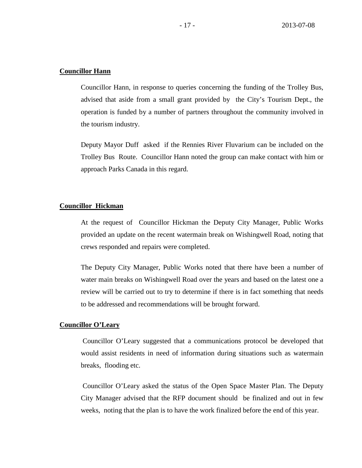## **Councillor Hann**

Councillor Hann, in response to queries concerning the funding of the Trolley Bus, advised that aside from a small grant provided by the City's Tourism Dept., the operation is funded by a number of partners throughout the community involved in the tourism industry.

Deputy Mayor Duff asked if the Rennies River Fluvarium can be included on the Trolley Bus Route. Councillor Hann noted the group can make contact with him or approach Parks Canada in this regard.

# **Councillor Hickman**

At the request of Councillor Hickman the Deputy City Manager, Public Works provided an update on the recent watermain break on Wishingwell Road, noting that crews responded and repairs were completed.

The Deputy City Manager, Public Works noted that there have been a number of water main breaks on Wishingwell Road over the years and based on the latest one a review will be carried out to try to determine if there is in fact something that needs to be addressed and recommendations will be brought forward.

# **Councillor O'Leary**

Councillor O'Leary suggested that a communications protocol be developed that would assist residents in need of information during situations such as watermain breaks, flooding etc.

Councillor O'Leary asked the status of the Open Space Master Plan. The Deputy City Manager advised that the RFP document should be finalized and out in few weeks, noting that the plan is to have the work finalized before the end of this year.